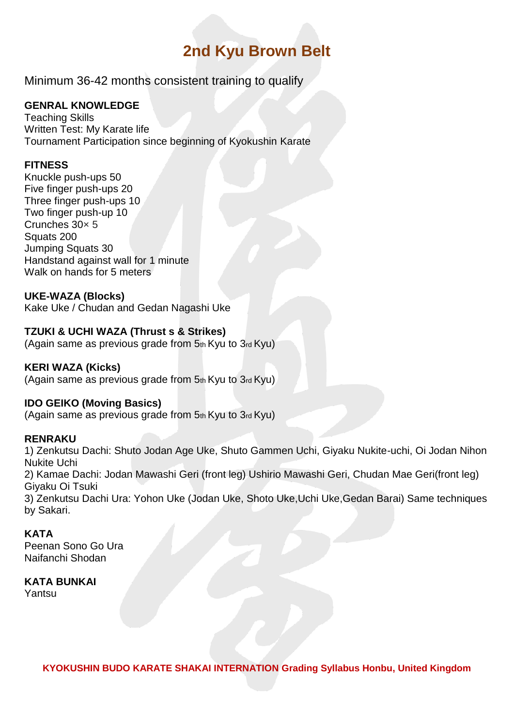# **2nd Kyu Brown Belt**

Minimum 36-42 months consistent training to qualify

## **GENRAL KNOWLEDGE**

Teaching Skills Written Test: My Karate life Tournament Participation since beginning of Kyokushin Karate

## **FITNESS**

Knuckle push-ups 50 Five finger push-ups 20 Three finger push-ups 10 Two finger push-up 10 Crunches 30× 5 Squats 200 Jumping Squats 30 Handstand against wall for 1 minute Walk on hands for 5 meters

## **UKE-WAZA (Blocks)**

Kake Uke / Chudan and Gedan Nagashi Uke

## **TZUKI & UCHI WAZA (Thrust s & Strikes)**

(Again same as previous grade from 5th Kyu to 3rd Kyu)

#### **KERI WAZA (Kicks)**

(Again same as previous grade from 5th Kyu to 3rd Kyu)

#### **IDO GEIKO (Moving Basics)**

(Again same as previous grade from 5th Kyu to 3rd Kyu)

#### **RENRAKU**

1) Zenkutsu Dachi: Shuto Jodan Age Uke, Shuto Gammen Uchi, Giyaku Nukite-uchi, Oi Jodan Nihon Nukite Uchi 2) Kamae Dachi: Jodan Mawashi Geri (front leg) Ushirio Mawashi Geri, Chudan Mae Geri(front leg) Giyaku Oi Tsuki

3) Zenkutsu Dachi Ura: Yohon Uke (Jodan Uke, Shoto Uke,Uchi Uke,Gedan Barai) Same techniques by Sakari.

## **KATA**

Peenan Sono Go Ura Naifanchi Shodan

#### **KATA BUNKAI**

Yantsu

**KYOKUSHIN BUDO KARATE SHAKAI INTERNATION Grading Syllabus Honbu, United Kingdom**